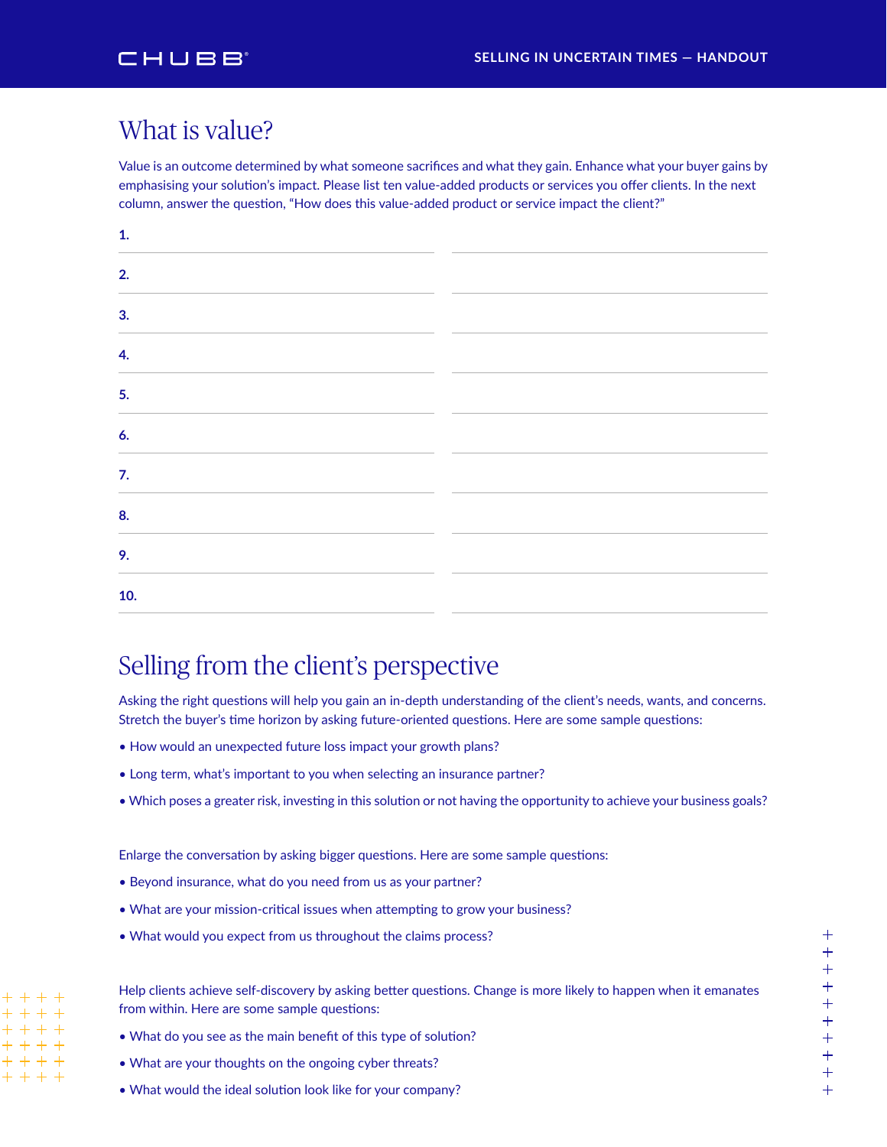## What is value?

Value is an outcome determined by what someone sacrifices and what they gain. Enhance what your buyer gains by emphasising your solution's impact. Please list ten value-added products or services you offer clients. In the next column, answer the question, "How does this value-added product or service impact the client?"

| 1.                             |  |
|--------------------------------|--|
| 2.                             |  |
| 3.<br>$\overline{\phantom{0}}$ |  |
| 4.<br>$\overline{\phantom{0}}$ |  |
| 5.                             |  |
| 6.                             |  |
| 7.                             |  |
| 8.<br>$\overline{\phantom{a}}$ |  |
| 9.                             |  |
| 10.                            |  |

## Selling from the client's perspective

Asking the right questions will help you gain an in-depth understanding of the client's needs, wants, and concerns. Stretch the buyer's time horizon by asking future-oriented questions. Here are some sample questions:

- How would an unexpected future loss impact your growth plans?
- Long term, what's important to you when selecting an insurance partner?
- Which poses a greater risk, investing in this solution or not having the opportunity to achieve your business goals?

Enlarge the conversation by asking bigger questions. Here are some sample questions:

- Beyond insurance, what do you need from us as your partner?
- What are your mission-critical issues when attempting to grow your business?
- What would you expect from us throughout the claims process?

Help clients achieve self-discovery by asking better questions. Change is more likely to happen when it emanates from within. Here are some sample questions:

- What do you see as the main benefit of this type of solution?
- What are your thoughts on the ongoing cyber threats?

 $+ + + +$  $+ + + +$  $+ + + +$  $+ + + +$  $+ + + +$  $+++++$ 

• What would the ideal solution look like for your company?

 $^{+}$ ++++++++++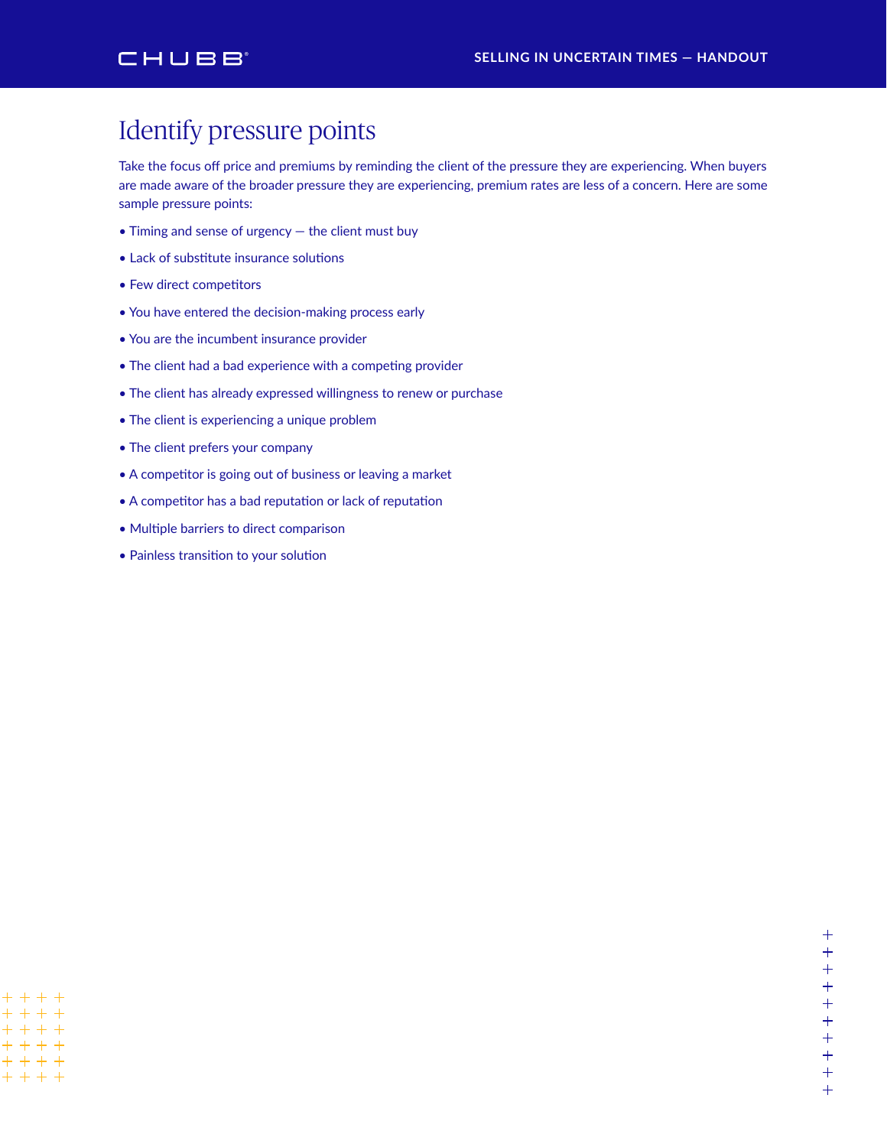#### CHUBB

# Identify pressure points

Take the focus off price and premiums by reminding the client of the pressure they are experiencing. When buyers are made aware of the broader pressure they are experiencing, premium rates are less of a concern. Here are some sample pressure points:

- Timing and sense of urgency the client must buy
- Lack of substitute insurance solutions
- Few direct competitors
- You have entered the decision-making process early
- You are the incumbent insurance provider
- The client had a bad experience with a competing provider
- The client has already expressed willingness to renew or purchase
- The client is experiencing a unique problem
- The client prefers your company
- A competitor is going out of business or leaving a market
- A competitor has a bad reputation or lack of reputation
- Multiple barriers to direct comparison
- Painless transition to your solution